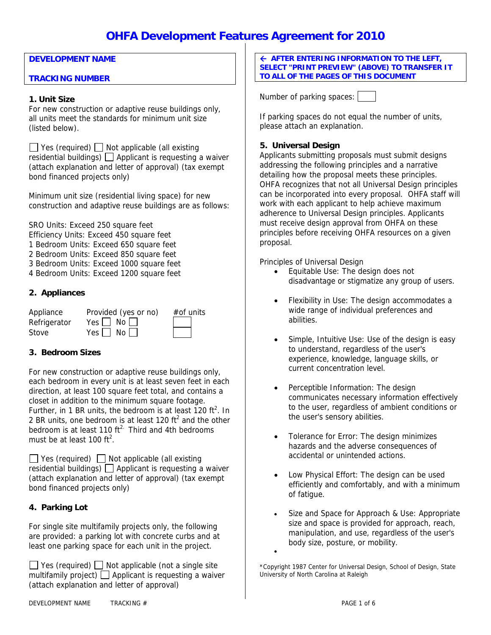## **DEVELOPMENT NAME**

## **TRACKING NUMBER**

#### **1. Unit Size**

For new construction or adaptive reuse buildings only, all units meet the standards for minimum unit size (listed below).

 $\Box$  Yes (required)  $\Box$  Not applicable (all existing residential buildings)  $\Box$  Applicant is requesting a waiver (attach explanation and letter of approval) (tax exempt bond financed projects only)

Minimum unit size (residential living space) for new construction and adaptive reuse buildings are as follows:

SRO Units: Exceed 250 square feet Efficiency Units: Exceed 450 square feet 1 Bedroom Units: Exceed 650 square feet

- 2 Bedroom Units: Exceed 850 square feet
- 3 Bedroom Units: Exceed 1000 square feet
- 4 Bedroom Units: Exceed 1200 square feet

## **2. Appliances**

| Appliance    | Provided (yes or no) | $#$ of units |
|--------------|----------------------|--------------|
| Refrigerator | Yes $\Box$ No $\Box$ |              |
| Stove        | Yes $\Box$ No $\Box$ |              |

## **3. Bedroom Sizes**

For new construction or adaptive reuse buildings only, each bedroom in every unit is at least seven feet in each direction, at least 100 square feet total, and contains a closet in addition to the minimum square footage. Further, in 1 BR units, the bedroom is at least 120 ft<sup>2</sup>. In 2 BR units, one bedroom is at least 120 ft<sup>2</sup> and the other bedroom is at least 110  $ft^2$ . Third and 4th bedrooms must be at least 100  $ft^2$ .

 $\Box$  Yes (required)  $\Box$  Not applicable (all existing residential buildings)  $\Box$  Applicant is requesting a waiver (attach explanation and letter of approval) (tax exempt bond financed projects only)

## **4. Parking Lot**

For single site multifamily projects only, the following are provided: a parking lot with concrete curbs and at least one parking space for each unit in the project.

 $\Box$  Yes (required)  $\Box$  Not applicable (not a single site multifamily project)  $\Box$  Applicant is requesting a waiver (attach explanation and letter of approval)

Å **AFTER ENTERING INFORMATION TO THE LEFT, SELECT "PRINT PREVIEW" (ABOVE) TO TRANSFER IT TO ALL OF THE PAGES OF THIS DOCUMENT** 

Number of parking spaces:

If parking spaces do not equal the number of units, please attach an explanation.

## **5. Universal Design**

Applicants submitting proposals must submit designs addressing the following principles and a narrative detailing how the proposal meets these principles. OHFA recognizes that not all Universal Design principles can be incorporated into every proposal. OHFA staff will work with each applicant to help achieve maximum adherence to Universal Design principles. Applicants must receive design approval from OHFA on these principles before receiving OHFA resources on a given proposal.

Principles of Universal Design

- Equitable Use: The design does not disadvantage or stigmatize any group of users.
- Flexibility in Use: The design accommodates a wide range of individual preferences and abilities.
- Simple, Intuitive Use: Use of the design is easy to understand, regardless of the user's experience, knowledge, language skills, or current concentration level.
- Perceptible Information: The design communicates necessary information effectively to the user, regardless of ambient conditions or the user's sensory abilities.
- Tolerance for Error: The design minimizes hazards and the adverse consequences of accidental or unintended actions.
- Low Physical Effort: The design can be used efficiently and comfortably, and with a minimum of fatigue.
- Size and Space for Approach & Use: Appropriate size and space is provided for approach, reach, manipulation, and use, regardless of the user's body size, posture, or mobility.

\*Copyright 1987 Center for Universal Design, School of Design, State University of North Carolina at Raleigh

•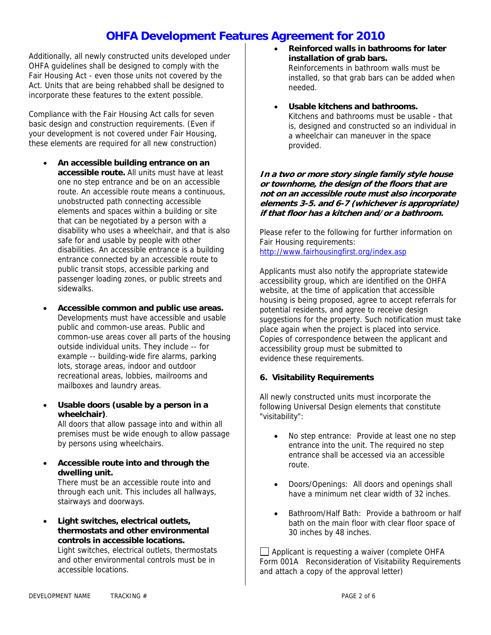Additionally, all newly constructed units developed under OHFA guidelines shall be designed to comply with the Fair Housing Act - even those units not covered by the Act. Units that are being rehabbed shall be designed to incorporate these features to the extent possible.

Compliance with the Fair Housing Act calls for seven basic design and construction requirements. (Even if your development is not covered under Fair Housing, these elements are required for all new construction)

- **An accessible building entrance on an accessible route.** All units must have at least one no step entrance and be on an accessible route. An accessible route means a continuous, unobstructed path connecting accessible elements and spaces within a building or site that can be negotiated by a person with a disability who uses a wheelchair, and that is also safe for and usable by people with other disabilities. An accessible entrance is a building entrance connected by an accessible route to public transit stops, accessible parking and passenger loading zones, or public streets and sidewalks.
- **Accessible common and public use areas.** Developments must have accessible and usable public and common-use areas. Public and common-use areas cover all parts of the housing outside individual units. They include -- for example -- building-wide fire alarms, parking lots, storage areas, indoor and outdoor recreational areas, lobbies, mailrooms and mailboxes and laundry areas.
- **Usable doors (usable by a person in a wheelchair)**.

All doors that allow passage into and within all premises must be wide enough to allow passage by persons using wheelchairs.

• **Accessible route into and through the dwelling unit.** There must be an accessible route into and

through each unit. This includes all hallways, stairways and doorways.

• **Light switches, electrical outlets, thermostats and other environmental controls in accessible locations.** Light switches, electrical outlets, thermostats and other environmental controls must be in accessible locations.

- **Reinforced walls in bathrooms for later installation of grab bars.**  Reinforcements in bathroom walls must be installed, so that grab bars can be added when needed.
- **Usable kitchens and bathrooms.** Kitchens and bathrooms must be usable - that is, designed and constructed so an individual in a wheelchair can maneuver in the space provided.

**In a two or more story single family style house or townhome, the design of the floors that are not on an accessible route must also incorporate elements 3-5. and 6-7 (whichever is appropriate) if that floor has a kitchen and/or a bathroom.** 

Please refer to the following for further information on Fair Housing requirements: <http://www.fairhousingfirst.org/index.asp>

Applicants must also notify the appropriate statewide accessibility group, which are identified on the OHFA website, at the time of application that accessible housing is being proposed, agree to accept referrals for potential residents, and agree to receive design suggestions for the property. Such notification must take place again when the project is placed into service. Copies of correspondence between the applicant and accessibility group must be submitted to evidence these requirements.

## **6. Visitability Requirements**

All newly constructed units must incorporate the following Universal Design elements that constitute "visitability":

- No step entrance: Provide at least one no step entrance into the unit. The required no step entrance shall be accessed via an accessible route.
- Doors/Openings: All doors and openings shall have a minimum net clear width of 32 inches.
- Bathroom/Half Bath: Provide a bathroom or half bath on the main floor with clear floor space of 30 inches by 48 inches.

□ Applicant is requesting a waiver (complete OHFA Form 001A Reconsideration of Visitability Requirements and attach a copy of the approval letter)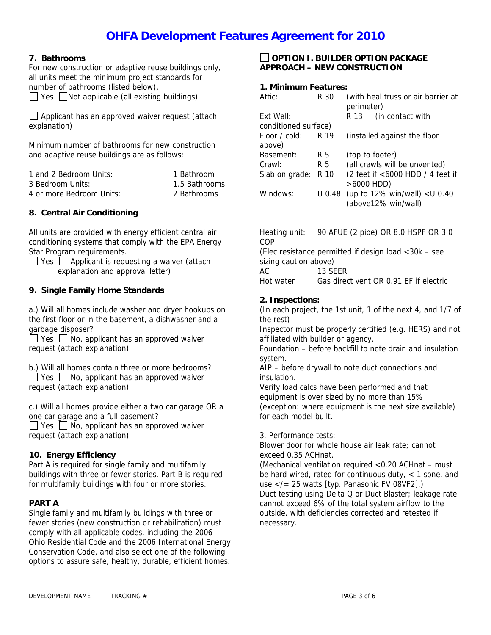## **7. Bathrooms**

For new construction or adaptive reuse buildings only, all units meet the minimum project standards for number of bathrooms (listed below).

 $\Box$  Yes  $\Box$  Not applicable (all existing buildings)

 $\Box$  Applicant has an approved waiver request (attach explanation)

Minimum number of bathrooms for new construction and adaptive reuse buildings are as follows:

| 1 and 2 Bedroom Units:   | 1 Bathroom    |
|--------------------------|---------------|
| 3 Bedroom Units:         | 1.5 Bathrooms |
| 4 or more Bedroom Units: | 2 Bathrooms   |

## **8. Central Air Conditioning**

All units are provided with energy efficient central air conditioning systems that comply with the EPA Energy Star Program requirements.

 $\Box$  Yes  $\Box$  Applicant is requesting a waiver (attach explanation and approval letter)

### **9. Single Family Home Standards**

a.) Will all homes include washer and dryer hookups on the first floor or in the basement, a dishwasher and a garbage disposer?

 $\Box$  Yes  $\Box$  No, applicant has an approved waiver request (attach explanation)

b.) Will all homes contain three or more bedrooms?

 $\Box$  Yes  $\Box$  No, applicant has an approved waiver request (attach explanation)

c.) Will all homes provide either a two car garage OR a one car garage and a full basement?

 $\Box$  Yes  $\Box$  No, applicant has an approved waiver request (attach explanation)

### **10. Energy Efficiency**

Part A is required for single family and multifamily buildings with three or fewer stories. Part B is required for multifamily buildings with four or more stories.

### **PART A**

Single family and multifamily buildings with three or fewer stories (new construction or rehabilitation) must comply with all applicable codes, including the 2006 Ohio Residential Code and the 2006 International Energy Conservation Code, and also select one of the following options to assure safe, healthy, durable, efficient homes.

## **OPTION I. BUILDER OPTION PACKAGE APPROACH – NEW CONSTRUCTION**

#### **1. Minimum Features:**

| Attic:                  | R 30   | (with heal truss or air barrier at<br>perimeter)        |  |  |
|-------------------------|--------|---------------------------------------------------------|--|--|
| Fxt Wall:               |        | (in contact with)<br>R 13                               |  |  |
| conditioned surface)    |        |                                                         |  |  |
| Floor / cold:<br>above) | R 19   | (installed against the floor                            |  |  |
| Basement:               | R 5    | (top to footer)                                         |  |  |
| Crawl:                  | R 5    | (all crawls will be unvented)                           |  |  |
| Slab on grade:          | R 10   | (2 feet if <6000 HDD / 4 feet if<br>$>6000$ HDD)        |  |  |
| Windows:                | U 0.48 | (up to $12\%$ win/wall) < U 0.40<br>(above12% win/wall) |  |  |

Heating unit: 90 AFUE (2 pipe) OR 8.0 HSPF OR 3.0 COP (Elec resistance permitted if design load <30k – see sizing caution above) AC 13 SEER Hot water Gas direct vent OR 0.91 EF if electric

## **2. Inspections:**

(In each project, the 1st unit, 1 of the next 4, and 1/7 of the rest)

Inspector must be properly certified (e.g. HERS) and not affiliated with builder or agency.

Foundation – before backfill to note drain and insulation system.

AIP – before drywall to note duct connections and insulation.

Verify load calcs have been performed and that equipment is over sized by no more than 15% (exception: where equipment is the next size available) for each model built.

3. Performance tests:

Blower door for whole house air leak rate; cannot exceed 0.35 ACHnat.

(Mechanical ventilation required <0.20 ACHnat – must be hard wired, rated for continuous duty,  $<$  1 sone, and use </= 25 watts [typ. Panasonic FV 08VF2].) Duct testing using Delta Q or Duct Blaster; leakage rate cannot exceed 6% of the total system airflow to the outside, with deficiencies corrected and retested if necessary.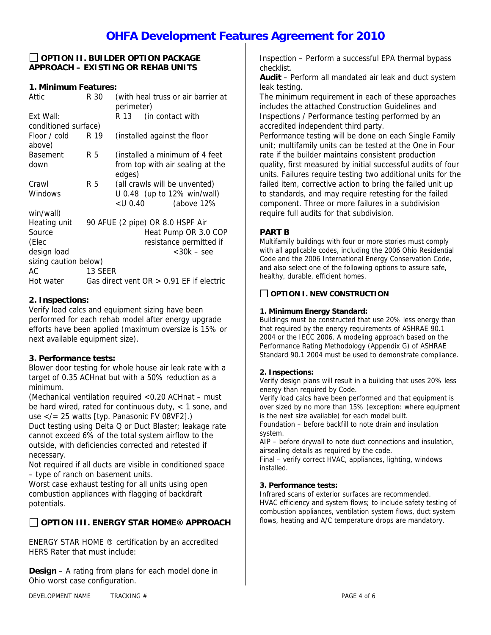## **OPTION II. BUILDER OPTION PACKAGE APPROACH – EXISTING OR REHAB UNITS**

## **1. Minimum Features:**

| Attic                 | R 30    | (with heal truss or air barrier at         |  |  |
|-----------------------|---------|--------------------------------------------|--|--|
|                       |         | perimeter)                                 |  |  |
|                       |         |                                            |  |  |
| Fxt Wall:             |         | (in contact with<br>R 13                   |  |  |
| conditioned surface)  |         |                                            |  |  |
| Floor / cold          | R 19    | (installed against the floor               |  |  |
| above)                |         |                                            |  |  |
| <b>Basement</b>       | R 5     | (installed a minimum of 4 feet             |  |  |
| down                  |         | from top with air sealing at the           |  |  |
|                       |         | edges)                                     |  |  |
|                       |         |                                            |  |  |
| Crawl                 | R 5     | (all crawls will be unvented)              |  |  |
| Windows               |         | U 0.48 (up to 12% win/wall)                |  |  |
|                       |         | <u 0.40<br="">(above 12%)</u>              |  |  |
| win/wall)             |         |                                            |  |  |
| Heating unit          |         | 90 AFUE (2 pipe) OR 8.0 HSPF Air           |  |  |
| Source                |         | Heat Pump OR 3.0 COP                       |  |  |
| (Elec                 |         | resistance permitted if                    |  |  |
| design load           |         | $<$ 30 $k$ – see                           |  |  |
| sizing caution below) |         |                                            |  |  |
| AC                    | 13 SEER |                                            |  |  |
| Hot water             |         | Gas direct vent $OR > 0.91$ EF if electric |  |  |

## **2. Inspections:**

Verify load calcs and equipment sizing have been performed for each rehab model after energy upgrade efforts have been applied (maximum oversize is 15% or next available equipment size).

## **3. Performance tests:**

Blower door testing for whole house air leak rate with a target of 0.35 ACHnat but with a 50% reduction as a minimum.

(Mechanical ventilation required <0.20 ACHnat – must be hard wired, rated for continuous duty,  $<$  1 sone, and use </= 25 watts [typ. Panasonic FV 08VF2].) Duct testing using Delta Q or Duct Blaster; leakage rate cannot exceed 6% of the total system airflow to the outside, with deficiencies corrected and retested if

necessary. Not required if all ducts are visible in conditioned space

– type of ranch on basement units.

Worst case exhaust testing for all units using open combustion appliances with flagging of backdraft potentials.

## **OPTION III. ENERGY STAR HOME® APPROACH**

ENERGY STAR HOME ® certification by an accredited HERS Rater that must include:

**Design** – A rating from plans for each model done in Ohio worst case configuration.

Inspection – Perform a successful EPA thermal bypass checklist.

**Audit** – Perform all mandated air leak and duct system leak testing.

The minimum requirement in each of these approaches includes the attached Construction Guidelines and Inspections / Performance testing performed by an accredited independent third party.

Performance testing will be done on each Single Family unit; multifamily units can be tested at the One in Four rate if the builder maintains consistent production quality, first measured by initial successful audits of four units. Failures require testing two additional units for the failed item, corrective action to bring the failed unit up to standards, and may require retesting for the failed component. Three or more failures in a subdivision require full audits for that subdivision.

## **PART B**

Multifamily buildings with four or more stories must comply with all applicable codes, including the 2006 Ohio Residential Code and the 2006 International Energy Conservation Code, and also select one of the following options to assure safe, healthy, durable, efficient homes.

## **OPTION I. NEW CONSTRUCTION**

### **1. Minimum Energy Standard:**

Buildings must be constructed that use 20% less energy than that required by the energy requirements of ASHRAE 90.1 2004 or the IECC 2006. A modeling approach based on the Performance Rating Methodology (Appendix G) of ASHRAE Standard 90.1 2004 must be used to demonstrate compliance.

### **2. Inspections:**

Verify design plans will result in a building that uses 20% less energy than required by Code.

Verify load calcs have been performed and that equipment is over sized by no more than 15% (exception: where equipment is the next size available) for each model built.

Foundation – before backfill to note drain and insulation system.

AIP – before drywall to note duct connections and insulation, airsealing details as required by the code.

Final – verify correct HVAC, appliances, lighting, windows installed.

### **3. Performance tests:**

Infrared scans of exterior surfaces are recommended. HVAC efficiency and system flows; to include safety testing of combustion appliances, ventilation system flows, duct system flows, heating and A/C temperature drops are mandatory.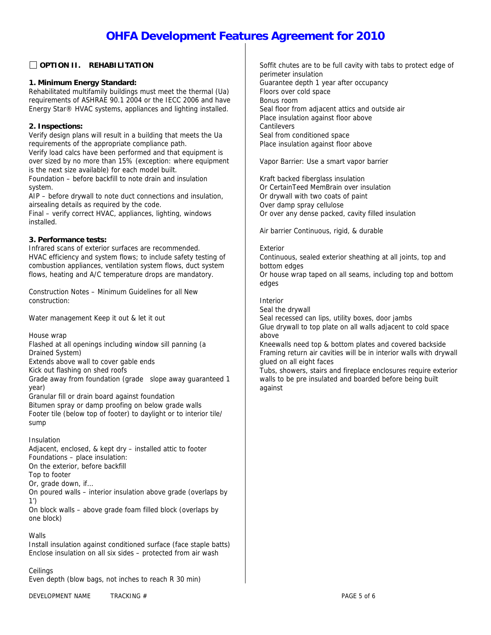## **OPTION II. REHABILITATION**

### **1. Minimum Energy Standard:**

Rehabilitated multifamily buildings must meet the thermal (Ua) requirements of ASHRAE 90.1 2004 or the IECC 2006 and have Energy Star® HVAC systems, appliances and lighting installed.

## **2. Inspections:**

Verify design plans will result in a building that meets the Ua requirements of the appropriate compliance path. Verify load calcs have been performed and that equipment is over sized by no more than 15% (exception: where equipment is the next size available) for each model built. Foundation – before backfill to note drain and insulation

system.

AIP – before drywall to note duct connections and insulation, airsealing details as required by the code.

Final – verify correct HVAC, appliances, lighting, windows installed.

## **3. Performance tests:**

Infrared scans of exterior surfaces are recommended. HVAC efficiency and system flows; to include safety testing of combustion appliances, ventilation system flows, duct system flows, heating and A/C temperature drops are mandatory.

Construction Notes – Minimum Guidelines for all New construction:

Water management Keep it out & let it out

House wrap

Flashed at all openings including window sill panning (a Drained System) Extends above wall to cover gable ends

Kick out flashing on shed roofs

Grade away from foundation (grade slope away guaranteed 1 year)

Granular fill or drain board against foundation

Bitumen spray or damp proofing on below grade walls

Footer tile (below top of footer) to daylight or to interior tile/ sump

### Insulation

Adjacent, enclosed, & kept dry – installed attic to footer Foundations – place insulation: On the exterior, before backfill Top to footer Or, grade down, if… On poured walls – interior insulation above grade (overlaps by 1')

On block walls – above grade foam filled block (overlaps by one block)

### **Walls**

Install insulation against conditioned surface (face staple batts) Enclose insulation on all six sides – protected from air wash

### **Ceilings**

Even depth (blow bags, not inches to reach R 30 min)

Soffit chutes are to be full cavity with tabs to protect edge of perimeter insulation Guarantee depth 1 year after occupancy Floors over cold space Bonus room Seal floor from adjacent attics and outside air Place insulation against floor above Cantilevers Seal from conditioned space Place insulation against floor above

Vapor Barrier: Use a smart vapor barrier

Kraft backed fiberglass insulation Or CertainTeed MemBrain over insulation Or drywall with two coats of paint Over damp spray cellulose Or over any dense packed, cavity filled insulation

Air barrier Continuous, rigid, & durable

#### Exterior

Continuous, sealed exterior sheathing at all joints, top and bottom edges

Or house wrap taped on all seams, including top and bottom edges

### Interior

Seal the drywall

Seal recessed can lips, utility boxes, door jambs Glue drywall to top plate on all walls adjacent to cold space above

Kneewalls need top & bottom plates and covered backside Framing return air cavities will be in interior walls with drywall glued on all eight faces

Tubs, showers, stairs and fireplace enclosures require exterior walls to be pre insulated and boarded before being built against